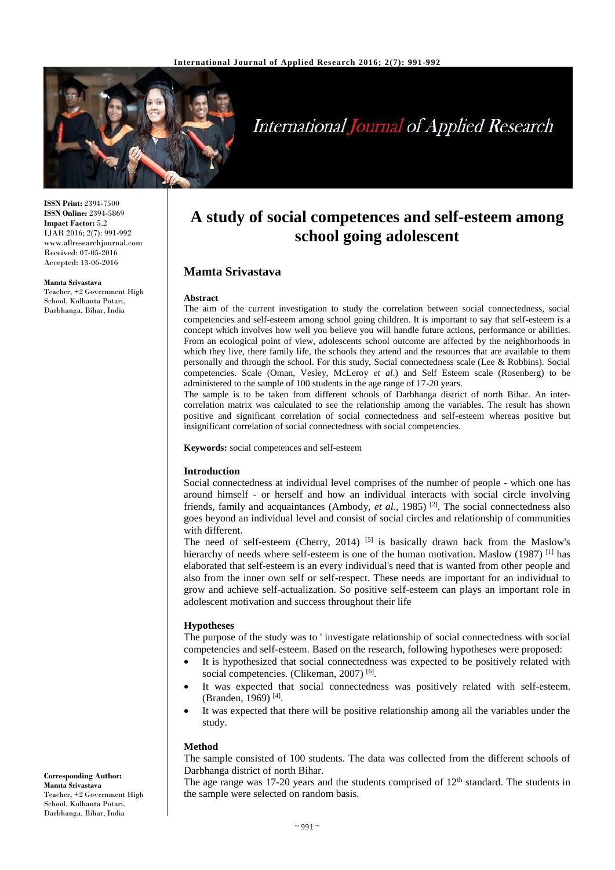

# **International Journal of Applied Research**

**ISSN Print:** 2394-7500 **ISSN Online:** 2394-5869 **Impact Factor:** 5.2 IJAR 2016; 2(7): 991-992 www.allresearchjournal.com Received: 07-05-2016 Accepted: 13-06-2016

#### **Mamta Srivastava**

Teacher, +2 Government High School, Kolhanta Potari, Darbhanga, Bihar, India

# **A study of social competences and self-esteem among school going adolescent**

# **Mamta Srivastava**

#### **Abstract**

The aim of the current investigation to study the correlation between social connectedness, social competencies and self-esteem among school going children. It is important to say that self-esteem is a concept which involves how well you believe you will handle future actions, performance or abilities. From an ecological point of view, adolescents school outcome are affected by the neighborhoods in which they live, there family life, the schools they attend and the resources that are available to them personally and through the school. For this study, Social connectedness scale (Lee & Robbins). Social competencies. Scale (Oman, Vesley, McLeroy *et al*.) and Self Esteem scale (Rosenberg) to be administered to the sample of 100 students in the age range of 17-20 years.

The sample is to be taken from different schools of Darbhanga district of north Bihar. An intercorrelation matrix was calculated to see the relationship among the variables. The result has shown positive and significant correlation of social connectedness and self-esteem whereas positive but insignificant correlation of social connectedness with social competencies.

**Keywords:** social competences and self-esteem

#### **Introduction**

Social connectedness at individual level comprises of the number of people - which one has around himself - or herself and how an individual interacts with social circle involving friends, family and acquaintances (Ambody, *et al.,* 1985) [2]. The social connectedness also goes beyond an individual level and consist of social circles and relationship of communities with different.

The need of self-esteem (Cherry, 2014)  $\left[5\right]$  is basically drawn back from the Maslow's hierarchy of needs where self-esteem is one of the human motivation. Maslow (1987) <sup>[1]</sup> has elaborated that self-esteem is an every individual's need that is wanted from other people and also from the inner own self or self-respect. These needs are important for an individual to grow and achieve self-actualization. So positive self-esteem can plays an important role in adolescent motivation and success throughout their life

#### **Hypotheses**

The purpose of the study was to ' investigate relationship of social connectedness with social competencies and self-esteem. Based on the research, following hypotheses were proposed:

- It is hypothesized that social connectedness was expected to be positively related with social competencies. (Clikeman, 2007)<sup>[6]</sup>.
- It was expected that social connectedness was positively related with self-esteem. (Branden, 1969)<sup>[4]</sup>.
- It was expected that there will be positive relationship among all the variables under the study.

### **Method**

The sample consisted of 100 students. The data was collected from the different schools of Darbhanga district of north Bihar.

The age range was 17-20 years and the students comprised of  $12<sup>th</sup>$  standard. The students in the sample were selected on random basis.

**Corresponding Author: Mamta Srivastava** Teacher, +2 Government High School, Kolhanta Potari, Darbhanga, Bihar, India